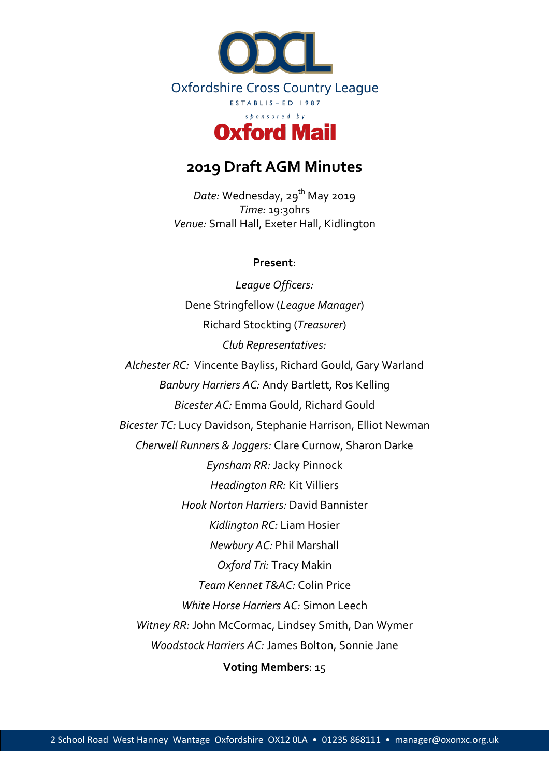

# **2019 Draft AGM Minutes**

Date: Wednesday, 29<sup>th</sup> May 2019 *Time:* 19:30hrs *Venue:* Small Hall, Exeter Hall, Kidlington

#### **Present**:

*League Officers:* Dene Stringfellow (*League Manager*) Richard Stockting (*Treasurer*) *Club Representatives: Alchester RC:* Vincente Bayliss, Richard Gould, Gary Warland *Banbury Harriers AC:* Andy Bartlett, Ros Kelling *Bicester AC:* Emma Gould, Richard Gould *Bicester TC:* Lucy Davidson, Stephanie Harrison, Elliot Newman *Cherwell Runners & Joggers:* Clare Curnow, Sharon Darke *Eynsham RR:* Jacky Pinnock *Headington RR:* Kit Villiers *Hook Norton Harriers:* David Bannister *Kidlington RC:* Liam Hosier *Newbury AC:* Phil Marshall *Oxford Tri:* Tracy Makin *Team Kennet T&AC:* Colin Price *White Horse Harriers AC:* Simon Leech *Witney RR:* John McCormac, Lindsey Smith, Dan Wymer *Woodstock Harriers AC:* James Bolton, Sonnie Jane **Voting Members**: 15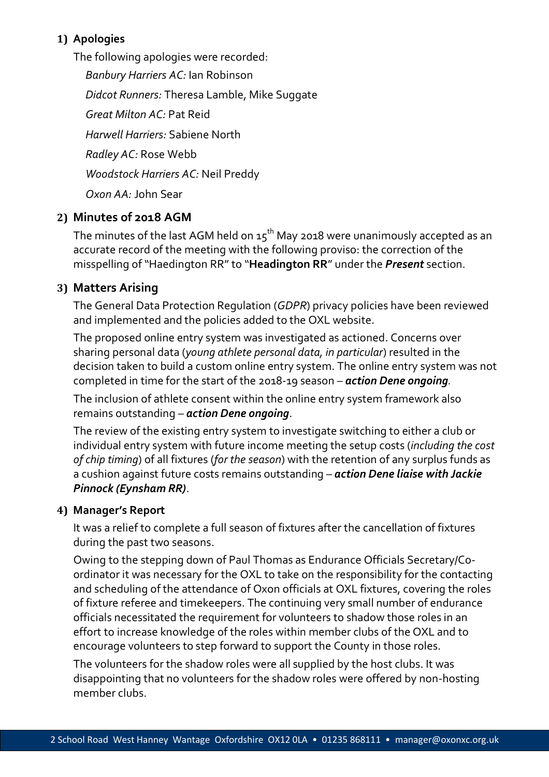# **1) Apologies**

The following apologies were recorded: *Banbury Harriers AC:* Ian Robinson *Didcot Runners:* Theresa Lamble, Mike Suggate *Great Milton AC:* Pat Reid *Harwell Harriers:* Sabiene North *Radley AC:* Rose Webb *Woodstock Harriers AC:* Neil Preddy *Oxon AA:* John Sear

# **2) Minutes of 2018 AGM**

The minutes of the last AGM held on  $15<sup>th</sup>$  May 2018 were unanimously accepted as an accurate record of the meeting with the following proviso: the correction of the misspelling of "Haedington RR" to "**Headington RR**" under the *Present* section.

# **3) Matters Arising**

The General Data Protection Regulation (*GDPR*) privacy policies have been reviewed and implemented and the policies added to the OXL website.

The proposed online entry system was investigated as actioned. Concerns over sharing personal data (*young athlete personal data, in particular*) resulted in the decision taken to build a custom online entry system. The online entry system was not completed in time for the start of the 2018-19 season *– action Dene ongoing.*

The inclusion of athlete consent within the online entry system framework also remains outstanding *– action Dene ongoing*.

The review of the existing entry system to investigate switching to either a club or individual entry system with future income meeting the setup costs (*including the cost of chip timing*) of all fixtures (*for the season*) with the retention of any surplus funds as a cushion against future costs remains outstanding *– action Dene liaise with Jackie Pinnock (Eynsham RR)*.

#### **4) Manager's Report**

It was a relief to complete a full season of fixtures after the cancellation of fixtures during the past two seasons.

Owing to the stepping down of Paul Thomas as Endurance Officials Secretary/Coordinator it was necessary for the OXL to take on the responsibility for the contacting and scheduling of the attendance of Oxon officials at OXL fixtures, covering the roles of fixture referee and timekeepers. The continuing very small number of endurance officials necessitated the requirement for volunteers to shadow those roles in an effort to increase knowledge of the roles within member clubs of the OXL and to encourage volunteers to step forward to support the County in those roles.

The volunteers for the shadow roles were all supplied by the host clubs. It was disappointing that no volunteers for the shadow roles were offered by non-hosting member clubs.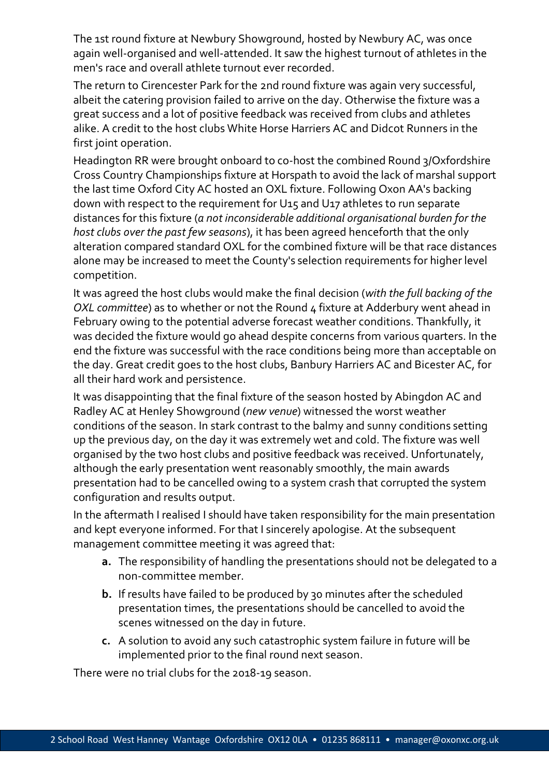The 1st round fixture at Newbury Showground, hosted by Newbury AC, was once again well-organised and well-attended. It saw the highest turnout of athletes in the men's race and overall athlete turnout ever recorded.

The return to Cirencester Park for the 2nd round fixture was again very successful, albeit the catering provision failed to arrive on the day. Otherwise the fixture was a great success and a lot of positive feedback was received from clubs and athletes alike. A credit to the host clubs White Horse Harriers AC and Didcot Runners in the first joint operation.

Headington RR were brought onboard to co-host the combined Round 3/Oxfordshire Cross Country Championships fixture at Horspath to avoid the lack of marshal support the last time Oxford City AC hosted an OXL fixture. Following Oxon AA's backing down with respect to the requirement for U15 and U17 athletes to run separate distances for this fixture (*a not inconsiderable additional organisational burden for the host clubs over the past few seasons*), it has been agreed henceforth that the only alteration compared standard OXL for the combined fixture will be that race distances alone may be increased to meet the County's selection requirements for higher level competition.

It was agreed the host clubs would make the final decision (*with the full backing of the OXL committee*) as to whether or not the Round 4 fixture at Adderbury went ahead in February owing to the potential adverse forecast weather conditions. Thankfully, it was decided the fixture would go ahead despite concerns from various quarters. In the end the fixture was successful with the race conditions being more than acceptable on the day. Great credit goes to the host clubs, Banbury Harriers AC and Bicester AC, for all their hard work and persistence.

It was disappointing that the final fixture of the season hosted by Abingdon AC and Radley AC at Henley Showground (*new venue*) witnessed the worst weather conditions of the season. In stark contrast to the balmy and sunny conditions setting up the previous day, on the day it was extremely wet and cold. The fixture was well organised by the two host clubs and positive feedback was received. Unfortunately, although the early presentation went reasonably smoothly, the main awards presentation had to be cancelled owing to a system crash that corrupted the system configuration and results output.

In the aftermath I realised I should have taken responsibility for the main presentation and kept everyone informed. For that I sincerely apologise. At the subsequent management committee meeting it was agreed that:

- **a.** The responsibility of handling the presentations should not be delegated to a non-committee member.
- **b.** If results have failed to be produced by 30 minutes after the scheduled presentation times, the presentations should be cancelled to avoid the scenes witnessed on the day in future.
- **c.** A solution to avoid any such catastrophic system failure in future will be implemented prior to the final round next season.

There were no trial clubs for the 2018-19 season.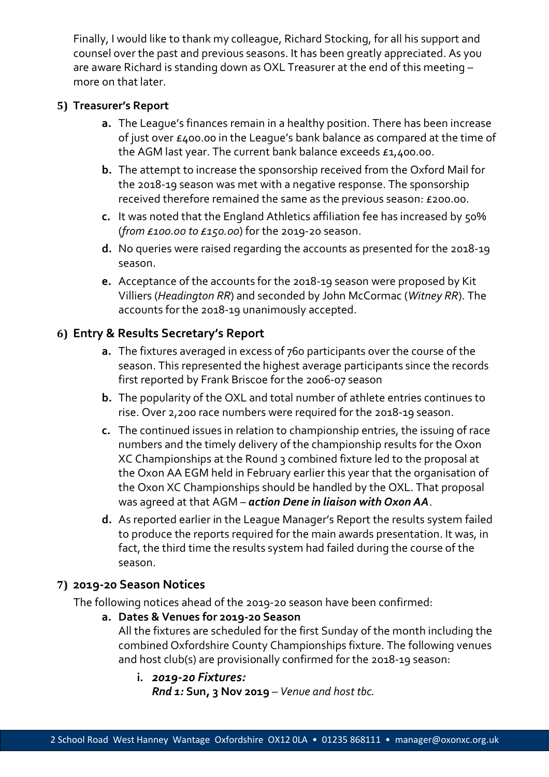Finally, I would like to thank my colleague, Richard Stocking, for all his support and counsel over the past and previous seasons. It has been greatly appreciated. As you are aware Richard is standing down as OXL Treasurer at the end of this meeting – more on that later.

#### **5) Treasurer's Report**

- **a.** The League's finances remain in a healthy position. There has been increase of just over £400.00 in the League's bank balance as compared at the time of the AGM last year. The current bank balance exceeds £1,400.00.
- **b.** The attempt to increase the sponsorship received from the Oxford Mail for the 2018-19 season was met with a negative response. The sponsorship received therefore remained the same as the previous season: £200.00.
- **c.** It was noted that the England Athletics affiliation fee has increased by 50% (*from £100.00 to £150.00*) for the 2019-20 season.
- **d.** No queries were raised regarding the accounts as presented for the 2018-19 season.
- **e.** Acceptance of the accounts for the 2018-19 season were proposed by Kit Villiers (*Headington RR*) and seconded by John McCormac (*Witney RR*). The accounts for the 2018-19 unanimously accepted.

# **6) Entry & Results Secretary's Report**

- **a.** The fixtures averaged in excess of 760 participants over the course of the season. This represented the highest average participants since the records first reported by Frank Briscoe for the 2006-07 season
- **b.** The popularity of the OXL and total number of athlete entries continues to rise. Over 2,200 race numbers were required for the 2018-19 season.
- **c.** The continued issues in relation to championship entries, the issuing of race numbers and the timely delivery of the championship results for the Oxon XC Championships at the Round 3 combined fixture led to the proposal at the Oxon AA EGM held in February earlier this year that the organisation of the Oxon XC Championships should be handled by the OXL. That proposal was agreed at that AGM *– action Dene in liaison with Oxon AA*.
- **d.** As reported earlier in the League Manager's Report the results system failed to produce the reports required for the main awards presentation. It was, in fact, the third time the results system had failed during the course of the season.

# **7) 2019-20 Season Notices**

The following notices ahead of the 2019-20 season have been confirmed:

**a. Dates & Venues for 2019-20 Season**

All the fixtures are scheduled for the first Sunday of the month including the combined Oxfordshire County Championships fixture. The following venues and host club(s) are provisionally confirmed for the 2018-19 season:

**i.** *2019-20 Fixtures: Rnd 1:* **Sun, 3 Nov 2019** – *Venue and host tbc.*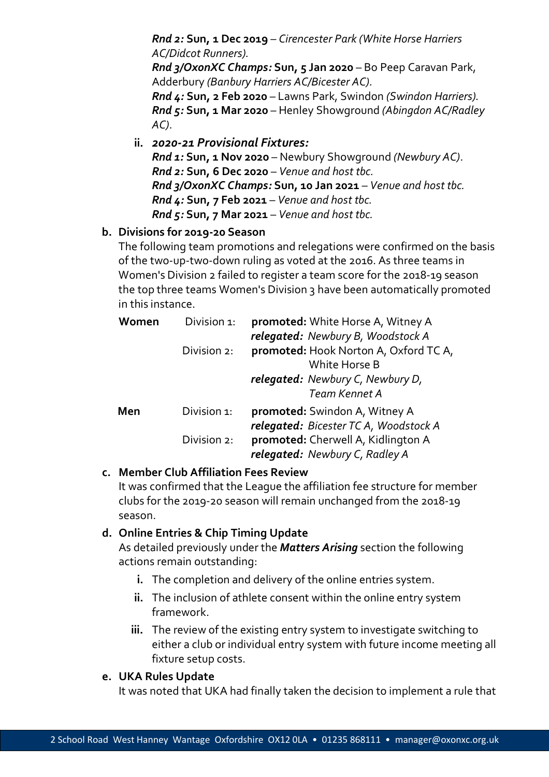*Rnd 2:* **Sun, 1 Dec 2019** – *Cirencester Park (White Horse Harriers AC/Didcot Runners). Rnd 3/OxonXC Champs:* **Sun, 5 Jan 2020** – Bo Peep Caravan Park, Adderbury *(Banbury Harriers AC/Bicester AC). Rnd 4:* **Sun, 2 Feb 2020** – Lawns Park, Swindon *(Swindon Harriers). Rnd 5:* **Sun, 1 Mar 2020** – Henley Showground *(Abingdon AC/Radley AC)*.

**ii.** *2020-21 Provisional Fixtures: Rnd 1:* **Sun, 1 Nov 2020** – Newbury Showground *(Newbury AC)*. *Rnd 2:* **Sun, 6 Dec 2020** – *Venue and host tbc. Rnd 3/OxonXC Champs:* **Sun, 10 Jan 2021** – *Venue and host tbc. Rnd 4:* **Sun, 7 Feb 2021** – *Venue and host tbc. Rnd 5:* **Sun, 7 Mar 2021** – *Venue and host tbc.*

### **b. Divisions for 2019-20 Season**

The following team promotions and relegations were confirmed on the basis of the two-up-two-down ruling as voted at the 2016. As three teams in Women's Division 2 failed to register a team score for the 2018-19 season the top three teams Women's Division 3 have been automatically promoted in this instance.

| Women | Division 1: | promoted: White Horse A, Witney A     |
|-------|-------------|---------------------------------------|
|       |             | relegated: Newbury B, Woodstock A     |
|       | Division 2: | promoted: Hook Norton A, Oxford TC A, |
|       |             | White Horse B                         |
|       |             | relegated: Newbury C, Newbury D,      |
|       |             | Team Kennet A                         |
| Men   | Division 1: | promoted: Swindon A, Witney A         |
|       |             | relegated: Bicester TC A, Woodstock A |
|       | Division 2: | promoted: Cherwell A, Kidlington A    |
|       |             | relegated: Newbury C, Radley A        |

#### **c. Member Club Affiliation Fees Review**

It was confirmed that the League the affiliation fee structure for member clubs for the 2019-20 season will remain unchanged from the 2018-19 season.

#### **d. Online Entries & Chip Timing Update**

As detailed previously under the *Matters Arising* section the following actions remain outstanding:

- **i.** The completion and delivery of the online entries system.
- **ii.** The inclusion of athlete consent within the online entry system framework.
- **iii.** The review of the existing entry system to investigate switching to either a club or individual entry system with future income meeting all fixture setup costs.

#### **e. UKA Rules Update**

It was noted that UKA had finally taken the decision to implement a rule that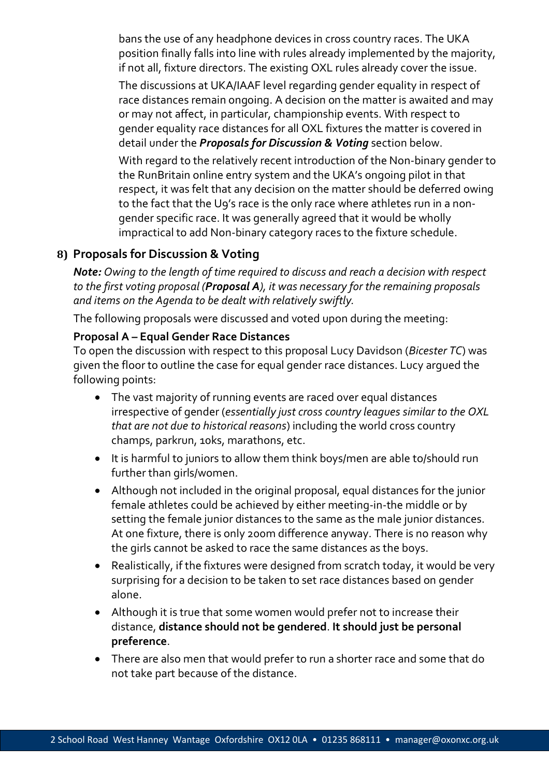bans the use of any headphone devices in cross country races. The UKA position finally falls into line with rules already implemented by the majority, if not all, fixture directors. The existing OXL rules already cover the issue.

The discussions at UKA/IAAF level regarding gender equality in respect of race distances remain ongoing. A decision on the matter is awaited and may or may not affect, in particular, championship events. With respect to gender equality race distances for all OXL fixtures the matter is covered in detail under the *Proposals for Discussion & Voting* section below.

With regard to the relatively recent introduction of the Non-binary gender to the RunBritain online entry system and the UKA's ongoing pilot in that respect, it was felt that any decision on the matter should be deferred owing to the fact that the U9's race is the only race where athletes run in a nongender specific race. It was generally agreed that it would be wholly impractical to add Non-binary category races to the fixture schedule.

### **8) Proposals for Discussion & Voting**

*Note: Owing to the length of time required to discuss and reach a decision with respect to the first voting proposal (Proposal A), it was necessary for the remaining proposals and items on the Agenda to be dealt with relatively swiftly.* 

The following proposals were discussed and voted upon during the meeting:

#### **Proposal A – Equal Gender Race Distances**

To open the discussion with respect to this proposal Lucy Davidson (*Bicester TC*) was given the floor to outline the case for equal gender race distances. Lucy argued the following points:

- The vast majority of running events are raced over equal distances irrespective of gender (*essentially just cross country leagues similar to the OXL that are not due to historical reasons*) including the world cross country champs, parkrun, 10ks, marathons, etc.
- It is harmful to juniors to allow them think boys/men are able to/should run further than girls/women.
- Although not included in the original proposal, equal distances for the junior female athletes could be achieved by either meeting-in-the middle or by setting the female junior distances to the same as the male junior distances. At one fixture, there is only 200m difference anyway. There is no reason why the girls cannot be asked to race the same distances as the boys.
- Realistically, if the fixtures were designed from scratch today, it would be very surprising for a decision to be taken to set race distances based on gender alone.
- Although it is true that some women would prefer not to increase their distance, **distance should not be gendered**. **It should just be personal preference**.
- There are also men that would prefer to run a shorter race and some that do not take part because of the distance.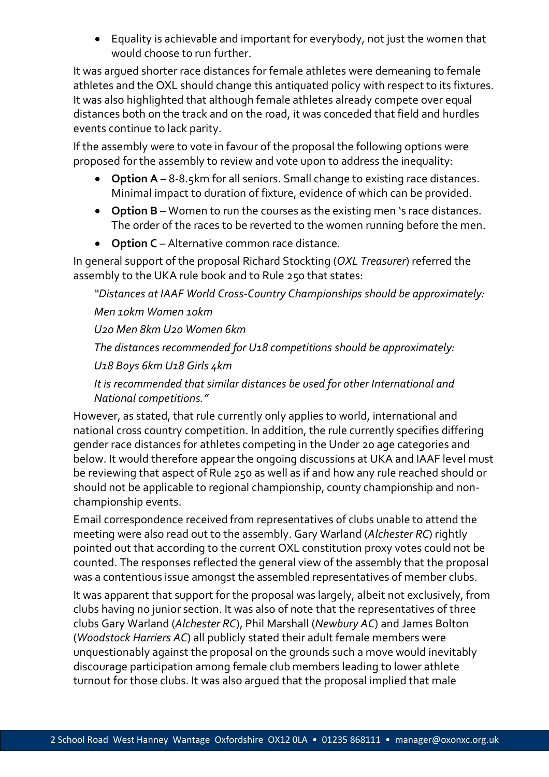• Equality is achievable and important for everybody, not just the women that would choose to run further.

It was argued shorter race distances for female athletes were demeaning to female athletes and the OXL should change this antiquated policy with respect to its fixtures. It was also highlighted that although female athletes already compete over equal distances both on the track and on the road, it was conceded that field and hurdles events continue to lack parity.

If the assembly were to vote in favour of the proposal the following options were proposed for the assembly to review and vote upon to address the inequality:

- **Option A** 8-8.5km for all seniors. Small change to existing race distances. Minimal impact to duration of fixture, evidence of which can be provided.
- **Option B** Women to run the courses as the existing men 's race distances. The order of the races to be reverted to the women running before the men.
- **Option C** Alternative common race distance*.*

In general support of the proposal Richard Stockting (*OXL Treasurer*) referred the assembly to the UKA rule book and to Rule 250 that states:

*"Distances at IAAF World Cross-Country Championships should be approximately:*

*Men 10km Women 10km*

*U20 Men 8km U20 Women 6km*

*The distances recommended for U18 competitions should be approximately:*

*U18 Boys 6km U18 Girls 4km*

*It is recommended that similar distances be used for other International and National competitions."*

However, as stated, that rule currently only applies to world, international and national cross country competition. In addition, the rule currently specifies differing gender race distances for athletes competing in the Under 20 age categories and below. It would therefore appear the ongoing discussions at UKA and IAAF level must be reviewing that aspect of Rule 250 as well as if and how any rule reached should or should not be applicable to regional championship, county championship and nonchampionship events.

Email correspondence received from representatives of clubs unable to attend the meeting were also read out to the assembly. Gary Warland (*Alchester RC*) rightly pointed out that according to the current OXL constitution proxy votes could not be counted. The responses reflected the general view of the assembly that the proposal was a contentious issue amongst the assembled representatives of member clubs.

It was apparent that support for the proposal was largely, albeit not exclusively, from clubs having no junior section. It was also of note that the representatives of three clubs Gary Warland (*Alchester RC*), Phil Marshall (*Newbury AC*) and James Bolton (*Woodstock Harriers AC*) all publicly stated their adult female members were unquestionably against the proposal on the grounds such a move would inevitably discourage participation among female club members leading to lower athlete turnout for those clubs. It was also argued that the proposal implied that male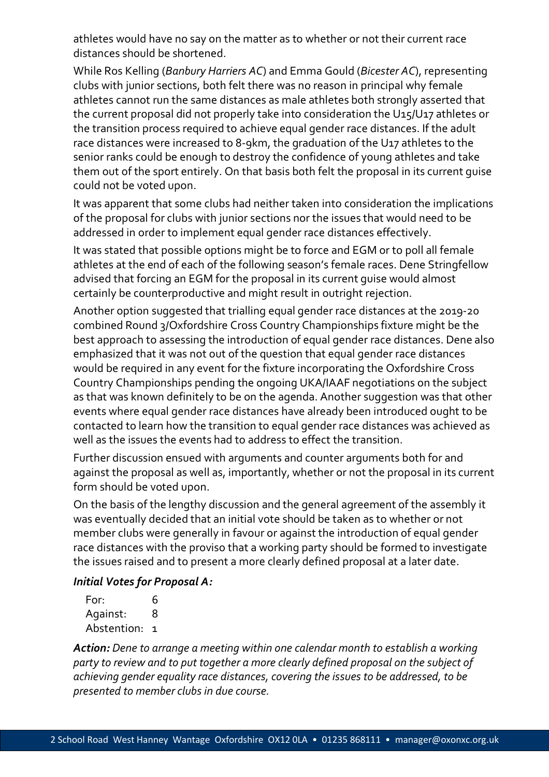athletes would have no say on the matter as to whether or not their current race distances should be shortened.

While Ros Kelling (*Banbury Harriers AC*) and Emma Gould (*Bicester AC*), representing clubs with junior sections, both felt there was no reason in principal why female athletes cannot run the same distances as male athletes both strongly asserted that the current proposal did not properly take into consideration the U15/U17 athletes or the transition process required to achieve equal gender race distances. If the adult race distances were increased to 8-9km, the graduation of the U17 athletes to the senior ranks could be enough to destroy the confidence of young athletes and take them out of the sport entirely. On that basis both felt the proposal in its current guise could not be voted upon.

It was apparent that some clubs had neither taken into consideration the implications of the proposal for clubs with junior sections nor the issues that would need to be addressed in order to implement equal gender race distances effectively.

It was stated that possible options might be to force and EGM or to poll all female athletes at the end of each of the following season's female races. Dene Stringfellow advised that forcing an EGM for the proposal in its current guise would almost certainly be counterproductive and might result in outright rejection.

Another option suggested that trialling equal gender race distances at the 2019-20 combined Round 3/Oxfordshire Cross Country Championships fixture might be the best approach to assessing the introduction of equal gender race distances. Dene also emphasized that it was not out of the question that equal gender race distances would be required in any event for the fixture incorporating the Oxfordshire Cross Country Championships pending the ongoing UKA/IAAF negotiations on the subject as that was known definitely to be on the agenda. Another suggestion was that other events where equal gender race distances have already been introduced ought to be contacted to learn how the transition to equal gender race distances was achieved as well as the issues the events had to address to effect the transition.

Further discussion ensued with arguments and counter arguments both for and against the proposal as well as, importantly, whether or not the proposal in its current form should be voted upon.

On the basis of the lengthy discussion and the general agreement of the assembly it was eventually decided that an initial vote should be taken as to whether or not member clubs were generally in favour or against the introduction of equal gender race distances with the proviso that a working party should be formed to investigate the issues raised and to present a more clearly defined proposal at a later date.

#### *Initial Votes for Proposal A:*

| For:          | 6 |
|---------------|---|
| Against:      | 8 |
| Abstention: 1 |   |

*Action: Dene to arrange a meeting within one calendar month to establish a working party to review and to put together a more clearly defined proposal on the subject of achieving gender equality race distances, covering the issues to be addressed, to be presented to member clubs in due course.*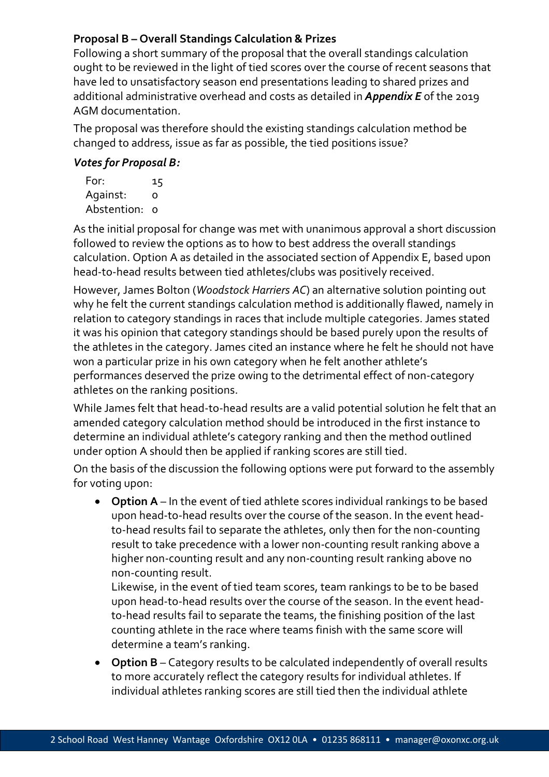# **Proposal B – Overall Standings Calculation & Prizes**

Following a short summary of the proposal that the overall standings calculation ought to be reviewed in the light of tied scores over the course of recent seasons that have led to unsatisfactory season end presentations leading to shared prizes and additional administrative overhead and costs as detailed in *Appendix E* of the 2019 AGM documentation.

The proposal was therefore should the existing standings calculation method be changed to address, issue as far as possible, the tied positions issue?

# *Votes for Proposal B:*

| For:          | 15 |
|---------------|----|
| Against:      | O  |
| Abstention: o |    |

As the initial proposal for change was met with unanimous approval a short discussion followed to review the options as to how to best address the overall standings calculation. Option A as detailed in the associated section of Appendix E, based upon head-to-head results between tied athletes/clubs was positively received.

However, James Bolton (*Woodstock Harriers AC*) an alternative solution pointing out why he felt the current standings calculation method is additionally flawed, namely in relation to category standings in races that include multiple categories. James stated it was his opinion that category standings should be based purely upon the results of the athletes in the category. James cited an instance where he felt he should not have won a particular prize in his own category when he felt another athlete's performances deserved the prize owing to the detrimental effect of non-category athletes on the ranking positions.

While James felt that head-to-head results are a valid potential solution he felt that an amended category calculation method should be introduced in the first instance to determine an individual athlete's category ranking and then the method outlined under option A should then be applied if ranking scores are still tied.

On the basis of the discussion the following options were put forward to the assembly for voting upon:

• **Option A** – In the event of tied athlete scores individual rankings to be based upon head-to-head results over the course of the season. In the event headto-head results fail to separate the athletes, only then for the non-counting result to take precedence with a lower non-counting result ranking above a higher non-counting result and any non-counting result ranking above no non-counting result.

Likewise, in the event of tied team scores, team rankings to be to be based upon head-to-head results over the course of the season. In the event headto-head results fail to separate the teams, the finishing position of the last counting athlete in the race where teams finish with the same score will determine a team's ranking.

• **Option B** – Category results to be calculated independently of overall results to more accurately reflect the category results for individual athletes. If individual athletes ranking scores are still tied then the individual athlete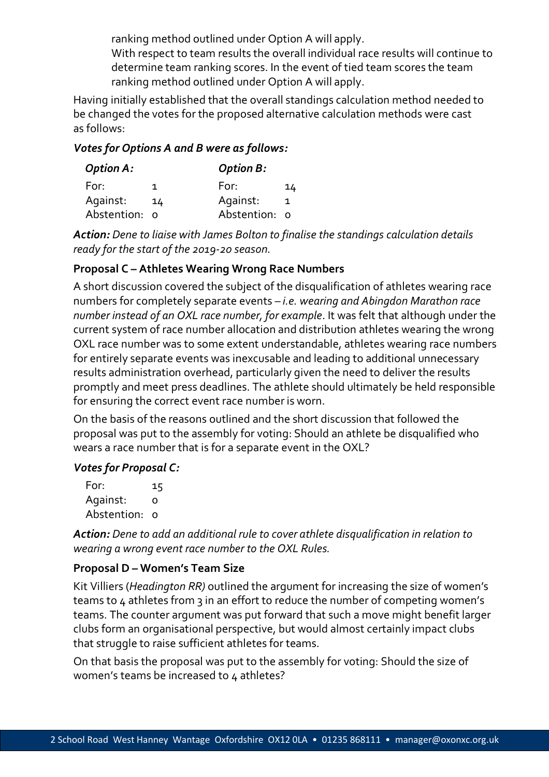ranking method outlined under Option A will apply.

With respect to team results the overall individual race results will continue to determine team ranking scores. In the event of tied team scores the team ranking method outlined under Option A will apply.

Having initially established that the overall standings calculation method needed to be changed the votes for the proposed alternative calculation methods were cast as follows:

# *Votes for Options A and B were as follows:*

| <b>Option A:</b> |    | <b>Option B:</b> |    |
|------------------|----|------------------|----|
| For:             |    | For:             | 14 |
| Against:         | 14 | Against:         | 1  |
| Abstention: 0    |    | Abstention: o    |    |

*Action: Dene to liaise with James Bolton to finalise the standings calculation details ready for the start of the 2019-20 season.*

# **Proposal C – Athletes Wearing Wrong Race Numbers**

A short discussion covered the subject of the disqualification of athletes wearing race numbers for completely separate events – *i.e. wearing and Abingdon Marathon race number instead of an OXL race number, for example*. It was felt that although under the current system of race number allocation and distribution athletes wearing the wrong OXL race number was to some extent understandable, athletes wearing race numbers for entirely separate events was inexcusable and leading to additional unnecessary results administration overhead, particularly given the need to deliver the results promptly and meet press deadlines. The athlete should ultimately be held responsible for ensuring the correct event race number is worn.

On the basis of the reasons outlined and the short discussion that followed the proposal was put to the assembly for voting: Should an athlete be disqualified who wears a race number that is for a separate event in the OXL?

# *Votes for Proposal C:*

For: 15 Against: 0 Abstention: 0

*Action: Dene to add an additional rule to cover athlete disqualification in relation to wearing a wrong event race number to the OXL Rules.*

# **Proposal D – Women's Team Size**

Kit Villiers (*Headington RR)* outlined the argument for increasing the size of women's teams to 4 athletes from 3 in an effort to reduce the number of competing women's teams. The counter argument was put forward that such a move might benefit larger clubs form an organisational perspective, but would almost certainly impact clubs that struggle to raise sufficient athletes for teams.

On that basis the proposal was put to the assembly for voting: Should the size of women's teams be increased to  $\mu$  athletes?